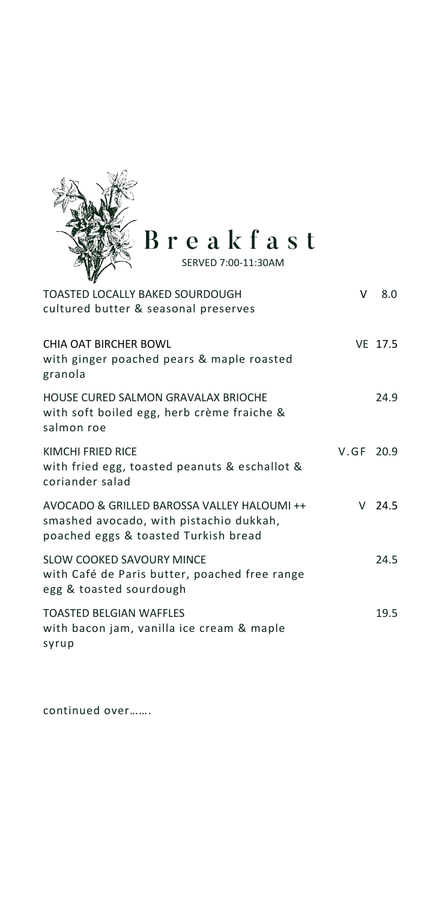

Breakfast

| TOASTED LOCALLY BAKED SOURDOUGH<br>cultured butter & seasonal preserves                                                        | v         | 8.0      |
|--------------------------------------------------------------------------------------------------------------------------------|-----------|----------|
| CHIA OAT BIRCHER BOWL<br>with ginger poached pears & maple roasted<br>granola                                                  |           | VF 17.5  |
| HOUSE CURED SALMON GRAVALAX BRIOCHE<br>with soft boiled egg, herb crème fraiche &<br>salmon roe                                |           | 24.9     |
| KIMCHI FRIED RICE<br>with fried egg, toasted peanuts & eschallot &<br>coriander salad                                          | V.GF 20.9 |          |
| AVOCADO & GRILLED BAROSSA VALLEY HALOUMI ++<br>smashed avocado, with pistachio dukkah,<br>poached eggs & toasted Turkish bread |           | $V$ 24.5 |
| SLOW COOKED SAVOURY MINCE<br>with Café de Paris butter, poached free range<br>egg & toasted sourdough                          |           | 24.5     |
| <b>TOASTED BELGIAN WAFFLES</b><br>with bacon jam, vanilla ice cream & maple<br>syrup                                           |           | 19.5     |

continued over…….